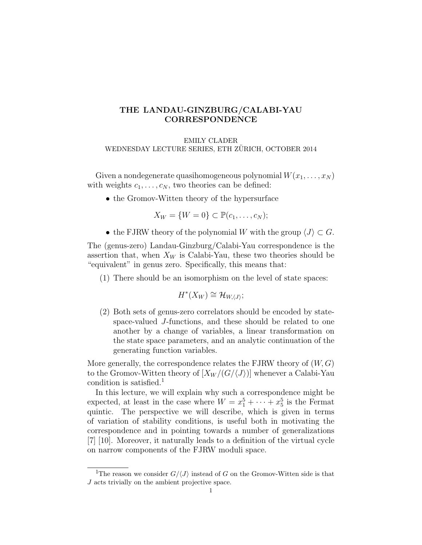# THE LANDAU-GINZBURG/CALABI-YAU CORRESPONDENCE

EMILY CLADER WEDNESDAY LECTURE SERIES, ETH ZURICH, OCTOBER 2014

Given a nondegenerate quasihomogeneous polynomial  $W(x_1, \ldots, x_N)$ with weights  $c_1, \ldots, c_N$ , two theories can be defined:

• the Gromov-Witten theory of the hypersurface

$$
X_W = \{W = 0\} \subset \mathbb{P}(c_1, \ldots, c_N);
$$

• the FJRW theory of the polynomial W with the group  $\langle J \rangle \subset G$ .

The (genus-zero) Landau-Ginzburg/Calabi-Yau correspondence is the assertion that, when  $X_W$  is Calabi-Yau, these two theories should be "equivalent" in genus zero. Specifically, this means that:

(1) There should be an isomorphism on the level of state spaces:

$$
H^*(X_W) \cong \mathcal{H}_{W,\langle J\rangle};
$$

(2) Both sets of genus-zero correlators should be encoded by statespace-valued J-functions, and these should be related to one another by a change of variables, a linear transformation on the state space parameters, and an analytic continuation of the generating function variables.

More generally, the correspondence relates the FJRW theory of  $(W, G)$ to the Gromov-Witten theory of  $[X_W/(G\langle J\rangle)]$  whenever a Calabi-Yau condition is satisfied.<sup>1</sup>

In this lecture, we will explain why such a correspondence might be expected, at least in the case where  $W = x_1^5 + \cdots + x_5^5$  is the Fermat quintic. The perspective we will describe, which is given in terms of variation of stability conditions, is useful both in motivating the correspondence and in pointing towards a number of generalizations [7] [10]. Moreover, it naturally leads to a definition of the virtual cycle on narrow components of the FJRW moduli space.

<sup>&</sup>lt;sup>1</sup>The reason we consider  $G/\langle J \rangle$  instead of G on the Gromov-Witten side is that J acts trivially on the ambient projective space.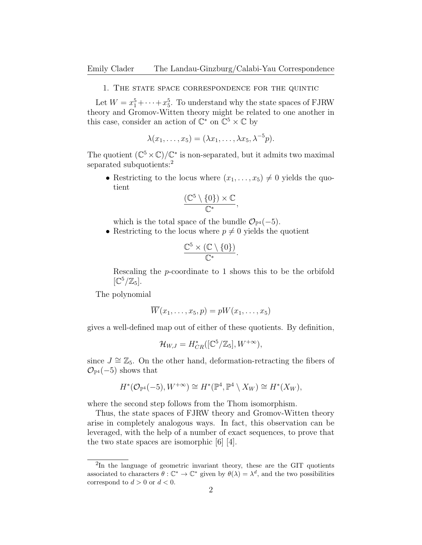#### 1. The state space correspondence for the quintic

Let  $W = x_1^5 + \cdots + x_5^5$ . To understand why the state spaces of FJRW theory and Gromov-Witten theory might be related to one another in this case, consider an action of  $\mathbb{C}^*$  on  $\mathbb{C}^5 \times \mathbb{C}$  by

$$
\lambda(x_1,\ldots,x_5)=(\lambda x_1,\ldots,\lambda x_5,\lambda^{-5}p).
$$

The quotient  $(\mathbb{C}^5 \times \mathbb{C})/\mathbb{C}^*$  is non-separated, but it admits two maximal separated subquotients:<sup>2</sup>

• Restricting to the locus where  $(x_1, \ldots, x_5) \neq 0$  yields the quotient

$$
\frac{(\mathbb{C}^5 \setminus \{0\}) \times \mathbb{C}}{\mathbb{C}^*},
$$

which is the total space of the bundle  $\mathcal{O}_{\mathbb{P}^4}(-5)$ .

• Restricting to the locus where  $p \neq 0$  yields the quotient

$$
\frac{\mathbb{C}^5 \times (\mathbb{C} \setminus \{0\})}{\mathbb{C}^*}.
$$

Rescaling the p-coordinate to 1 shows this to be the orbifold  $[\mathbb{C}^5/\mathbb{Z}_5]$ .

The polynomial

$$
W(x_1, \ldots, x_5, p) = pW(x_1, \ldots, x_5)
$$

gives a well-defined map out of either of these quotients. By definition,

$$
\mathcal{H}_{W,J}=H^*_{CR}([\mathbb{C}^5/\mathbb{Z}_5],W^{+\infty}),
$$

since  $J \cong \mathbb{Z}_5$ . On the other hand, deformation-retracting the fibers of  $\mathcal{O}_{\mathbb{P}^4}(-5)$  shows that

$$
H^*(\mathcal{O}_{\mathbb{P}^4}(-5),W^{+\infty})\cong H^*(\mathbb{P}^4,\mathbb{P}^4\setminus X_W)\cong H^*(X_W),
$$

where the second step follows from the Thom isomorphism.

Thus, the state spaces of FJRW theory and Gromov-Witten theory arise in completely analogous ways. In fact, this observation can be leveraged, with the help of a number of exact sequences, to prove that the two state spaces are isomorphic [6] [4].

<sup>&</sup>lt;sup>2</sup>In the language of geometric invariant theory, these are the GIT quotients associated to characters  $\theta : \mathbb{C}^* \to \mathbb{C}^*$  given by  $\theta(\lambda) = \lambda^d$ , and the two possibilities correspond to  $d > 0$  or  $d < 0$ .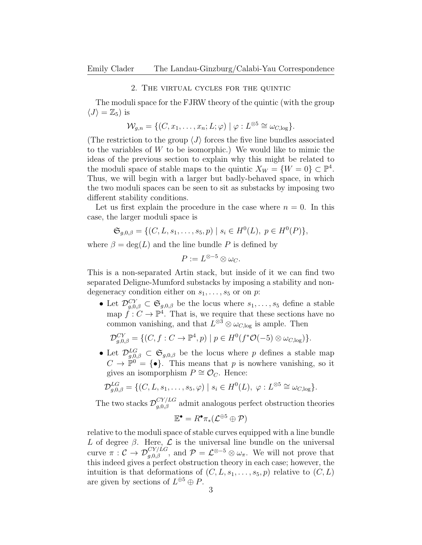### 2. The virtual cycles for the quintic

The moduli space for the FJRW theory of the quintic (with the group  $\langle J \rangle = \mathbb{Z}_5$ ) is

$$
\mathcal{W}_{g,n} = \{ (C, x_1, \dots, x_n; L; \varphi) \mid \varphi : L^{\otimes 5} \cong \omega_{C, \log} \}.
$$

(The restriction to the group  $\langle J \rangle$  forces the five line bundles associated to the variables of W to be isomorphic.) We would like to mimic the ideas of the previous section to explain why this might be related to the moduli space of stable maps to the quintic  $X_W = \{W = 0\} \subset \mathbb{P}^4$ . Thus, we will begin with a larger but badly-behaved space, in which the two moduli spaces can be seen to sit as substacks by imposing two different stability conditions.

Let us first explain the procedure in the case where  $n = 0$ . In this case, the larger moduli space is

$$
\mathfrak{S}_{g,0,\beta} = \{ (C, L, s_1, \dots, s_5, p) \mid s_i \in H^0(L), \ p \in H^0(P) \},
$$

where  $\beta = \deg(L)$  and the line bundle P is defined by

$$
P := L^{\otimes -5} \otimes \omega_C.
$$

This is a non-separated Artin stack, but inside of it we can find two separated Deligne-Mumford substacks by imposing a stability and nondegeneracy condition either on  $s_1, \ldots, s_5$  or on p:

• Let  $\mathcal{D}_{g,0,\beta}^{CY} \subset \mathfrak{S}_{g,0,\beta}$  be the locus where  $s_1,\ldots,s_5$  define a stable map  $f: C \to \mathbb{P}^4$ . That is, we require that these sections have no common vanishing, and that  $L^{\otimes 3} \otimes \omega_{C,\text{log}}$  is ample. Then

$$
\mathcal{D}_{g,0,\beta}^{CY} = \{ (C, f: C \to \mathbb{P}^4, p) \mid p \in H^0(f^*\mathcal{O}(-5) \otimes \omega_{C,\log}) \}.
$$

• Let  $\mathcal{D}_{g,0,\beta}^{LG} \subset \mathfrak{S}_{g,0,\beta}$  be the locus where p defines a stable map  $C \to \mathbb{P}^0 = \{ \bullet \}.$  This means that p is nowhere vanishing, so it gives an isomporphism  $P \cong \mathcal{O}_C$ . Hence:

$$
\mathcal{D}_{g,0,\beta}^{LG} = \{ (C, L, s_1, \ldots, s_5, \varphi) \mid s_i \in H^0(L), \varphi : L^{\otimes 5} \cong \omega_{C,\log} \}.
$$

The two stacks  $\mathcal{D}_{g,0,\beta}^{CY/LG}$  admit analogous perfect obstruction theories

$$
\mathbb{E}^{\bullet}=R^{\bullet}\pi_{*}(\mathcal{L}^{\oplus 5}\oplus \mathcal{P})
$$

relative to the moduli space of stable curves equipped with a line bundle L of degree  $\beta$ . Here, L is the universal line bundle on the universal curve  $\pi: \mathcal{C} \to \mathcal{D}_{g,0,\beta}^{CY/LG}$ , and  $\mathcal{P} = \mathcal{L}^{\otimes -5} \otimes \omega_{\pi}$ . We will not prove that this indeed gives a perfect obstruction theory in each case; however, the intuition is that deformations of  $(C, L, s_1, \ldots, s_5, p)$  relative to  $(C, L)$ are given by sections of  $L^{\oplus 5} \oplus P$ .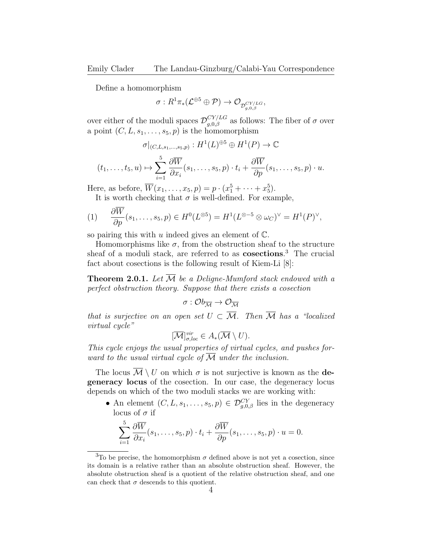Define a homomorphism

$$
\sigma: R^1\pi_*({\mathcal L}^{\oplus 5} \oplus {\mathcal P}) \to {\mathcal O}_{\mathcal{D}^{CY/LG}_{g,0,\beta}},
$$

over either of the moduli spaces  $\mathcal{D}_{g,0,\beta}^{CY/LG}$  as follows: The fiber of  $\sigma$  over a point  $(C, L, s_1, \ldots, s_5, p)$  is the homomorphism

$$
\sigma|_{(C,L,s_1,\ldots,s_5,p)}:H^1(L)^{\oplus 5}\oplus H^1(P)\to\mathbb{C}
$$

$$
(t_1,\ldots,t_5,u)\mapsto \sum_{i=1}^5\frac{\partial \overline{W}}{\partial x_i}(s_1,\ldots,s_5,p)\cdot t_i+\frac{\partial \overline{W}}{\partial p}(s_1,\ldots,s_5,p)\cdot u.
$$

Here, as before,  $\overline{W}(x_1, ..., x_5, p) = p \cdot (x_1^5 + ... + x_5^5)$ .

It is worth checking that  $\sigma$  is well-defined. For example,

$$
(1) \qquad \frac{\partial W}{\partial p}(s_1,\ldots,s_5,p) \in H^0(L^{\otimes 5}) = H^1(L^{\otimes -5} \otimes \omega_C)^{\vee} = H^1(P)^{\vee},
$$

so pairing this with  $u$  indeed gives an element of  $\mathbb{C}$ .

Homomorphisms like  $\sigma$ , from the obstruction sheaf to the structure sheaf of a moduli stack, are referred to as **cosections**.<sup>3</sup> The crucial fact about cosections is the following result of Kiem-Li [8]:

**Theorem 2.0.1.** Let  $\overline{\mathcal{M}}$  be a Deligne-Mumford stack endowed with a perfect obstruction theory. Suppose that there exists a cosection

$$
\sigma: \mathcal{O}b_{\overline{\mathcal{M}}}\to \mathcal{O}_{\overline{\mathcal{M}}}
$$

that is surjective on an open set  $U \subset \overline{\mathcal{M}}$ . Then  $\overline{\mathcal{M}}$  has a "localized" virtual cycle"

$$
[\overline{\mathcal{M}}]^{vir}_{\sigma,loc} \in A_*(\overline{\mathcal{M}} \setminus U).
$$

This cycle enjoys the usual properties of virtual cycles, and pushes forward to the usual virtual cycle of  $\overline{\mathcal{M}}$  under the inclusion.

The locus  $\mathcal{M} \setminus U$  on which  $\sigma$  is not surjective is known as the **de**generacy locus of the cosection. In our case, the degeneracy locus depends on which of the two moduli stacks we are working with:

• An element  $(C, L, s_1, \ldots, s_5, p) \in \mathcal{D}_{g,0,\beta}^{CY}$  lies in the degeneracy locus of  $\sigma$  if

$$
\sum_{i=1}^{5} \frac{\partial \overline{W}}{\partial x_i}(s_1,\ldots,s_5,p) \cdot t_i + \frac{\partial \overline{W}}{\partial p}(s_1,\ldots,s_5,p) \cdot u = 0.
$$

<sup>&</sup>lt;sup>3</sup>To be precise, the homomorphism  $\sigma$  defined above is not yet a cosection, since its domain is a relative rather than an absolute obstruction sheaf. However, the absolute obstruction sheaf is a quotient of the relative obstruction sheaf, and one can check that  $\sigma$  descends to this quotient.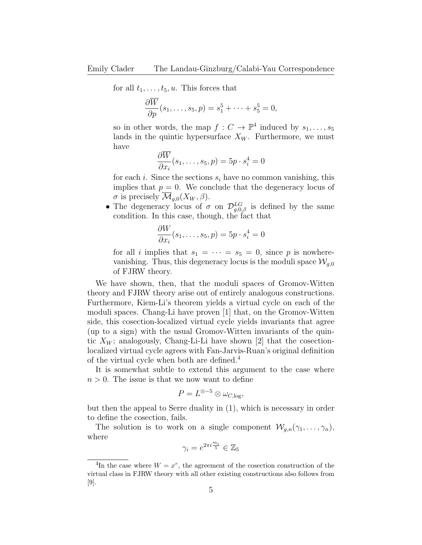for all  $t_1, \ldots, t_5, u$ . This forces that

$$
\frac{\partial \overline{W}}{\partial p}(s_1,\ldots,s_5,p)=s_1^5+\cdots+s_5^5=0,
$$

so in other words, the map  $f: C \to \mathbb{P}^4$  induced by  $s_1, \ldots, s_5$ lands in the quintic hypersurface  $X_W$ . Furthermore, we must have

$$
\frac{\partial \overline{W}}{\partial x_i}(s_1,\ldots,s_5,p) = 5p \cdot s_i^4 = 0
$$

for each i. Since the sections  $s_i$  have no common vanishing, this implies that  $p = 0$ . We conclude that the degeneracy locus of  $\sigma$  is precisely  $\overline{\mathcal{M}}_{q,0}(X_W,\beta)$ .

• The degeneracy locus of  $\sigma$  on  $\mathcal{D}_{g,0,\beta}^{LG}$  is defined by the same condition. In this case, though, the fact that

$$
\frac{\partial W}{\partial x_i}(s_1,\ldots,s_5,p) = 5p \cdot s_i^4 = 0
$$

for all i implies that  $s_1 = \cdots = s_5 = 0$ , since p is nowherevanishing. Thus, this degeneracy locus is the moduli space  $\mathcal{W}_{q,0}$ of FJRW theory.

We have shown, then, that the moduli spaces of Gromov-Witten theory and FJRW theory arise out of entirely analogous constructions. Furthermore, Kiem-Li's theorem yields a virtual cycle on each of the moduli spaces. Chang-Li have proven [1] that, on the Gromov-Witten side, this cosection-localized virtual cycle yields invariants that agree (up to a sign) with the usual Gromov-Witten invariants of the quintic  $X_W$ ; analogously, Chang-Li-Li have shown [2] that the cosectionlocalized virtual cycle agrees with Fan-Jarvis-Ruan's original definition of the virtual cycle when both are defined.<sup>4</sup>

It is somewhat subtle to extend this argument to the case where  $n > 0$ . The issue is that we now want to define

$$
P = L^{\otimes -5} \otimes \omega_{C, \log},
$$

but then the appeal to Serre duality in (1), which is necessary in order to define the cosection, fails.

The solution is to work on a single component  $\mathcal{W}_{q,n}(\gamma_1,\ldots,\gamma_n)$ , where

$$
\gamma_i = e^{2\pi i \frac{m_i}{5}} \in \mathbb{Z}_5
$$

<sup>&</sup>lt;sup>4</sup>In the case where  $W = x^r$ , the agreement of the cosection construction of the virtual class in FJRW theory with all other existing constructions also follows from [9].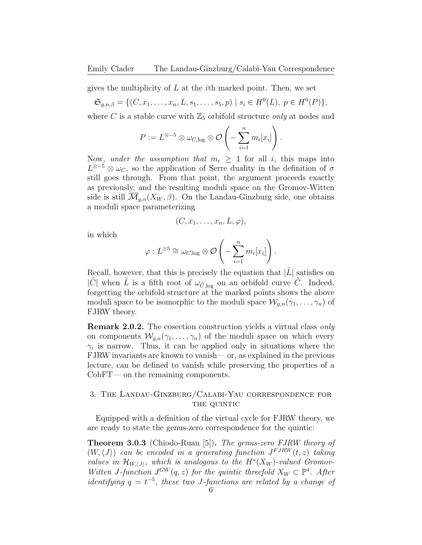gives the multiplicity of  $L$  at the *i*th marked point. Then, we set

$$
\mathfrak{S}_{g,n,\beta} = \{ (C, x_1, \dots, x_n, L, s_1, \dots, s_5, p) \mid s_i \in H^0(L), \ p \in H^0(P) \},
$$

where C is a stable curve with  $\mathbb{Z}_5$  orbifold structure *only* at nodes and

$$
P := L^{\otimes -5} \otimes \omega_{C,\log} \otimes \mathcal{O}\left(-\sum_{i=1}^n m_i[x_i]\right).
$$

Now, under the assumption that  $m_i \geq 1$  for all i, this maps into  $L^{\otimes -5}$  ⊗  $\omega_C$ , so the application of Serre duality in the definition of  $\sigma$ still goes through. From that point, the argument proceeds exactly as previously, and the resulting moduli space on the Gromov-Witten side is still  $\overline{\mathcal{M}}_{q,n}(X_W, \beta)$ . On the Landau-Ginzburg side, one obtains a moduli space parameterizing

$$
(C, x_1, \ldots, x_n, L, \varphi),
$$

in which

$$
\varphi: L^{\otimes 5} \cong \omega_{C,\log} \otimes \mathcal{O}\left(-\sum_{i=1}^n m_i[x_i]\right).
$$

Recall, however, that this is precisely the equation that  $|\tilde{L}|$  satisfies on  $|\tilde{C}|$  when  $\tilde{L}$  is a fifth root of  $\omega_{\tilde{C},\log}$  on an orbifold curve  $\tilde{C}$ . Indeed, forgetting the orbifold structure at the marked points shows the above moduli space to be isomorphic to the moduli space  $\mathcal{W}_{q,n}(\gamma_1,\ldots,\gamma_n)$  of FJRW theory.

Remark 2.0.2. The cosection construction yields a virtual class only on components  $W_{q,n}(\gamma_1,\ldots,\gamma_n)$  of the moduli space on which every  $\gamma_i$  is narrow. Thus, it can be applied only in situations where the FJRW invariants are known to vanish— or, as explained in the previous lecture, can be defined to vanish while preserving the properties of a CohFT— on the remaining components.

## 3. The Landau-Ginzburg/Calabi-Yau correspondence for THE QUINTIC

Equipped with a definition of the virtual cycle for FJRW theory, we are ready to state the genus-zero correspondence for the quintic:

Theorem 3.0.3 (Chiodo-Ruan [5]). The genus-zero FJRW theory of  $(W, \langle J \rangle)$  can be encoded in a generating function  $J^{F J R W}(t, z)$  taking values in  $\mathcal{H}_{W,\langle J\rangle}$ , which is analogous to the  $H^*(X_W)$ -valued Gromov-Witten J-function  $J^{GW}(q, z)$  for the quintic threefold  $X_W \subset \mathbb{P}^4$ . After identifying  $q = t^{-5}$ , these two J-functions are related by a change of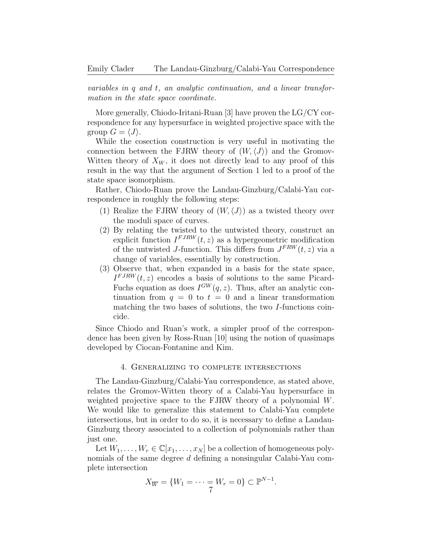variables in q and t, an analytic continuation, and a linear transformation in the state space coordinate.

More generally, Chiodo-Iritani-Ruan [3] have proven the LG/CY correspondence for any hypersurface in weighted projective space with the group  $G = \langle J \rangle$ .

While the cosection construction is very useful in motivating the connection between the FJRW theory of  $(W, \langle J \rangle)$  and the Gromov-Witten theory of  $X_W$ , it does not directly lead to any proof of this result in the way that the argument of Section 1 led to a proof of the state space isomorphism.

Rather, Chiodo-Ruan prove the Landau-Ginzburg/Calabi-Yau correspondence in roughly the following steps:

- (1) Realize the FJRW theory of  $(W,\langle J \rangle)$  as a twisted theory over the moduli space of curves.
- (2) By relating the twisted to the untwisted theory, construct an explicit function  $I^{FJRW}(t, z)$  as a hypergeometric modification of the untwisted J-function. This differs from  $J^{FRW}(t, z)$  via a change of variables, essentially by construction.
- (3) Observe that, when expanded in a basis for the state space,  $I^{FJRW}(t, z)$  encodes a basis of solutions to the same Picard-Fuchs equation as does  $I^{GW}(q, z)$ . Thus, after an analytic continuation from  $q = 0$  to  $t = 0$  and a linear transformation matching the two bases of solutions, the two I-functions coincide.

Since Chiodo and Ruan's work, a simpler proof of the correspondence has been given by Ross-Ruan [10] using the notion of quasimaps developed by Ciocan-Fontanine and Kim.

## 4. Generalizing to complete intersections

The Landau-Ginzburg/Calabi-Yau correspondence, as stated above, relates the Gromov-Witten theory of a Calabi-Yau hypersurface in weighted projective space to the FJRW theory of a polynomial W. We would like to generalize this statement to Calabi-Yau complete intersections, but in order to do so, it is necessary to define a Landau-Ginzburg theory associated to a collection of polynomials rather than just one.

Let  $W_1, \ldots, W_r \in \mathbb{C}[x_1, \ldots, x_N]$  be a collection of homogeneous polynomials of the same degree d defining a nonsingular Calabi-Yau complete intersection

$$
X_{\overline{W}} = \{W_1 = \dots = W_r = 0\} \subset \mathbb{P}^{N-1}.
$$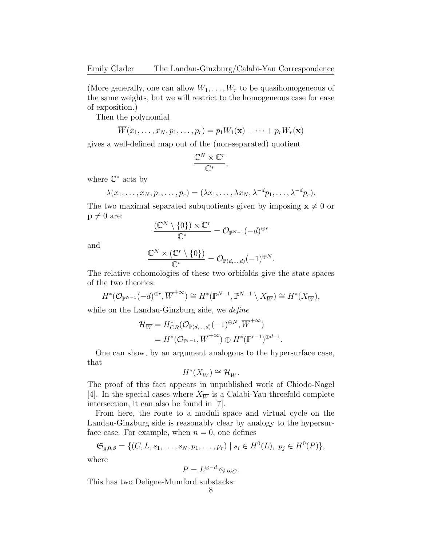(More generally, one can allow  $W_1, \ldots, W_r$  to be quasihomogeneous of the same weights, but we will restrict to the homogeneous case for ease of exposition.)

Then the polynomial

$$
\overline{W}(x_1,\ldots,x_N,p_1,\ldots,p_r)=p_1W_1(\mathbf{x})+\cdots+p_rW_r(\mathbf{x})
$$

gives a well-defined map out of the (non-separated) quotient

$$
\frac{\mathbb{C}^N\times \mathbb{C}^r}{\mathbb{C}^*},
$$

where  $\mathbb{C}^*$  acts by

$$
\lambda(x_1,\ldots,x_N,p_1,\ldots,p_r)=(\lambda x_1,\ldots,\lambda x_N,\lambda^{-d}p_1,\ldots,\lambda^{-d}p_r).
$$

The two maximal separated subquotients given by imposing  $\mathbf{x}\neq 0$  or  $\mathbf{p} \neq 0$  are:

$$
\frac{({\mathbb C}^N\setminus\{0\})\times{\mathbb C}^r}{{\mathbb C}^*}={\mathcal O}_{{\mathbb P}^{N-1}}(-d)^{\oplus r}
$$

and

$$
\frac{\mathbb{C}^N\times (\mathbb{C}^r\setminus\{0\})}{\mathbb{C}^*}=\mathcal{O}_{\mathbb{P}(d,\ldots,d)}(-1)^{\oplus N}.
$$

The relative cohomologies of these two orbifolds give the state spaces of the two theories:

$$
H^*(\mathcal{O}_{\mathbb{P}^{N-1}}(-d)^{\oplus r}, \overline{W}^{+\infty}) \cong H^*(\mathbb{P}^{N-1}, \mathbb{P}^{N-1} \setminus X_{\overline{W}}) \cong H^*(X_{\overline{W}}),
$$

while on the Landau-Ginzburg side, we *define* 

$$
\mathcal{H}_{\overline{W}} = H^*_{CR}(\mathcal{O}_{\mathbb{P}(d,\dots,d)}(-1)^{\oplus N}, \overline{W}^{+\infty})
$$
  
=  $H^*(\mathcal{O}_{\mathbb{P}^{r-1}}, \overline{W}^{+\infty}) \oplus H^*(\mathbb{P}^{r-1})^{\oplus d-1}.$ 

One can show, by an argument analogous to the hypersurface case, that

$$
H^*(X_{\overline{W}}) \cong \mathcal{H}_{\overline{W}}.
$$

The proof of this fact appears in unpublished work of Chiodo-Nagel [4]. In the special cases where  $X_{\overline{W}}$  is a Calabi-Yau threefold complete intersection, it can also be found in [7].

From here, the route to a moduli space and virtual cycle on the Landau-Ginzburg side is reasonably clear by analogy to the hypersurface case. For example, when  $n = 0$ , one defines

$$
\mathfrak{S}_{g,0,\beta} = \{ (C, L, s_1, \dots, s_N, p_1, \dots, p_r) \mid s_i \in H^0(L), \ p_j \in H^0(P) \},
$$

where

$$
P=L^{\otimes -d}\otimes \omega_C.
$$

This has two Deligne-Mumford substacks: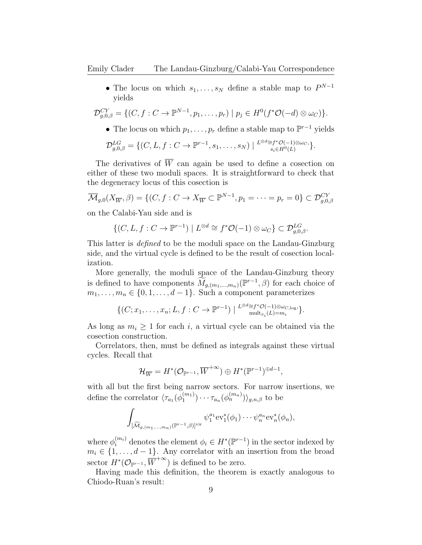• The locus on which  $s_1, \ldots, s_N$  define a stable map to  $P^{N-1}$ yields

$$
\mathcal{D}_{g,0,\beta}^{CY} = \{ (C, f: C \to \mathbb{P}^{N-1}, p_1, \ldots, p_r) \mid p_j \in H^0(f^*\mathcal{O}(-d) \otimes \omega_C) \}.
$$

• The locus on which  $p_1, \ldots, p_r$  define a stable map to  $\mathbb{P}^{r-1}$  yields

$$
\mathcal{D}_{g,0,\beta}^{LG} = \{ (C, L, f : C \to \mathbb{P}^{r-1}, s_1, \ldots, s_N) \mid \substack{L^{\otimes d} \cong f^* \mathcal{O}(-1) \otimes \omega_{C}, \atop s_i \in H^0(L)} \}.
$$

The derivatives of  $\overline{W}$  can again be used to define a cosection on either of these two moduli spaces. It is straightforward to check that the degeneracy locus of this cosection is

$$
\overline{\mathcal{M}}_{g,0}(X_{\overline{W}}, \beta) = \{ (C, f : C \to X_{\overline{W}} \subset \mathbb{P}^{N-1}, p_1 = \dots = p_r = 0 \} \subset \mathcal{D}_{g,0,\beta}^{CY}
$$

on the Calabi-Yau side and is

$$
\{(C, L, f: C \to \mathbb{P}^{r-1}) \mid L^{\otimes d} \cong f^* \mathcal{O}(-1) \otimes \omega_C\} \subset \mathcal{D}_{g,0,\beta}^{LG}.
$$

This latter is defined to be the moduli space on the Landau-Ginzburg side, and the virtual cycle is defined to be the result of cosection localization.

More generally, the moduli space of the Landau-Ginzburg theory is defined to have components  $\widetilde{M}_{g,(m_1,\dots,m_n)}(\mathbb{P}^{r-1},\beta)$  for each choice of  $m_1, \ldots, m_n \in \{0, 1, \ldots, d-1\}$ . Such a component parameterizes

$$
\{(C; x_1, \ldots, x_n; L, f : C \to \mathbb{P}^{r-1}) \mid \substack{L^{\otimes d} \cong f^* \mathcal{O}(-1) \otimes \omega_{C, \log}, \\ \text{mult}_{x_i}(L) = m_i} \}.
$$

As long as  $m_i \geq 1$  for each i, a virtual cycle can be obtained via the cosection construction.

Correlators, then, must be defined as integrals against these virtual cycles. Recall that

$$
\mathcal{H}_{\overline{W}}=H^*(\mathcal{O}_{\mathbb{P}^{r-1}},\overline{W}^{+\infty})\oplus H^*(\mathbb{P}^{r-1})^{\oplus d-1},
$$

with all but the first being narrow sectors. For narrow insertions, we define the correlator  $\langle \tau_{a_1}(\phi_1^{(m_1)})$  $\binom{(m_1)}{1} \cdots \tau_{a_n}(\phi_n^{(m_n)})_{g,n,\beta}$  to be

$$
\int_{\widetilde{[M}_{g,(m_1,...,m_n)}(\mathbb{P}^{r-1},\beta)]^{\text{vir}}} \psi_1^{a_1} \text{ev}_1^*(\phi_1) \cdots \psi_n^{a_n} \text{ev}_n^*(\phi_n),
$$

where  $\phi_i^{(m_i)}$  denotes the element  $\phi_i \in H^*(\mathbb{P}^{r-1})$  in the sector indexed by  $m_i \in \{1, \ldots, d-1\}$ . Any correlator with an insertion from the broad sector  $H^*(\mathcal{O}_{\mathbb{P}^{r-1}}, \overline{W}^{+\infty})$  is defined to be zero.

Having made this definition, the theorem is exactly analogous to Chiodo-Ruan's result: